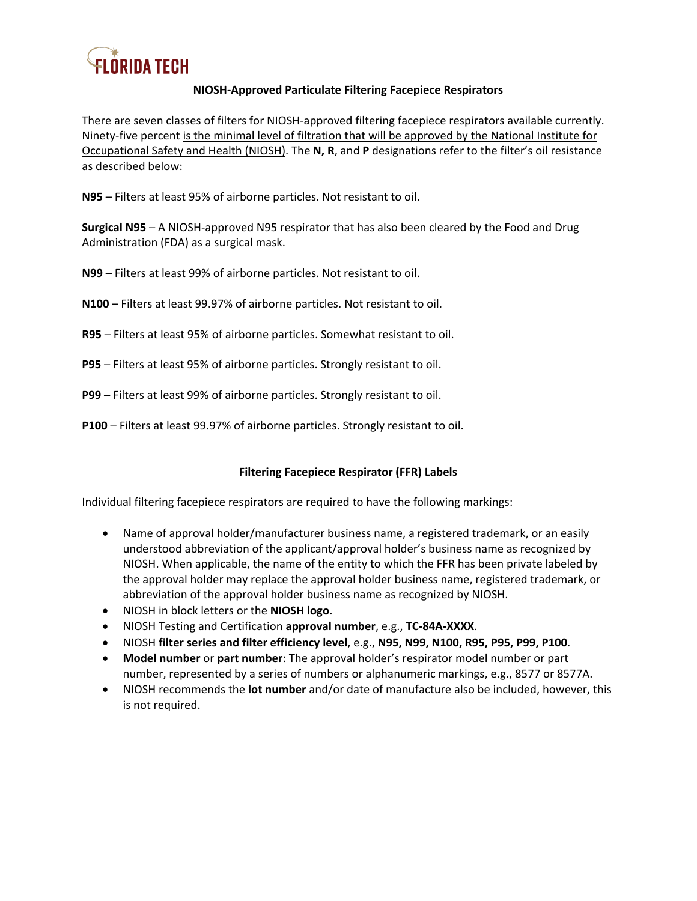

## **NIOSH-Approved Particulate Filtering Facepiece Respirators**

There are seven classes of filters for NIOSH-approved filtering facepiece respirators available currently. Ninety-five percent is the minimal level of filtration that will be approved by the National Institute for Occupational Safety and Health (NIOSH). The **N, R**, and **P** designations refer to the filter's oil resistance as described below:

**N95** – Filters at least 95% of airborne particles. Not resistant to oil.

**Surgical N95** – A NIOSH-approved N95 respirator that has also been cleared by the Food and Drug Administration (FDA) as a surgical mask.

**N99** – Filters at least 99% of airborne particles. Not resistant to oil.

- **N100** Filters at least 99.97% of airborne particles. Not resistant to oil.
- **R95** Filters at least 95% of airborne particles. Somewhat resistant to oil.
- **P95** Filters at least 95% of airborne particles. Strongly resistant to oil.
- **P99** Filters at least 99% of airborne particles. Strongly resistant to oil.
- **P100** Filters at least 99.97% of airborne particles. Strongly resistant to oil.

## **Filtering Facepiece Respirator (FFR) Labels**

Individual filtering facepiece respirators are required to have the following markings:

- Name of approval holder/manufacturer business name, a registered trademark, or an easily understood abbreviation of the applicant/approval holder's business name as recognized by NIOSH. When applicable, the name of the entity to which the FFR has been private labeled by the approval holder may replace the approval holder business name, registered trademark, or abbreviation of the approval holder business name as recognized by NIOSH.
- NIOSH in block letters or the **NIOSH logo**.
- NIOSH Testing and Certification **approval number**, e.g., **TC-84A-XXXX**.
- NIOSH **filter series and filter efficiency level**, e.g., **N95, N99, N100, R95, P95, P99, P100**.
- **Model number** or **part number**: The approval holder's respirator model number or part number, represented by a series of numbers or alphanumeric markings, e.g., 8577 or 8577A.
- NIOSH recommends the **lot number** and/or date of manufacture also be included, however, this is not required.